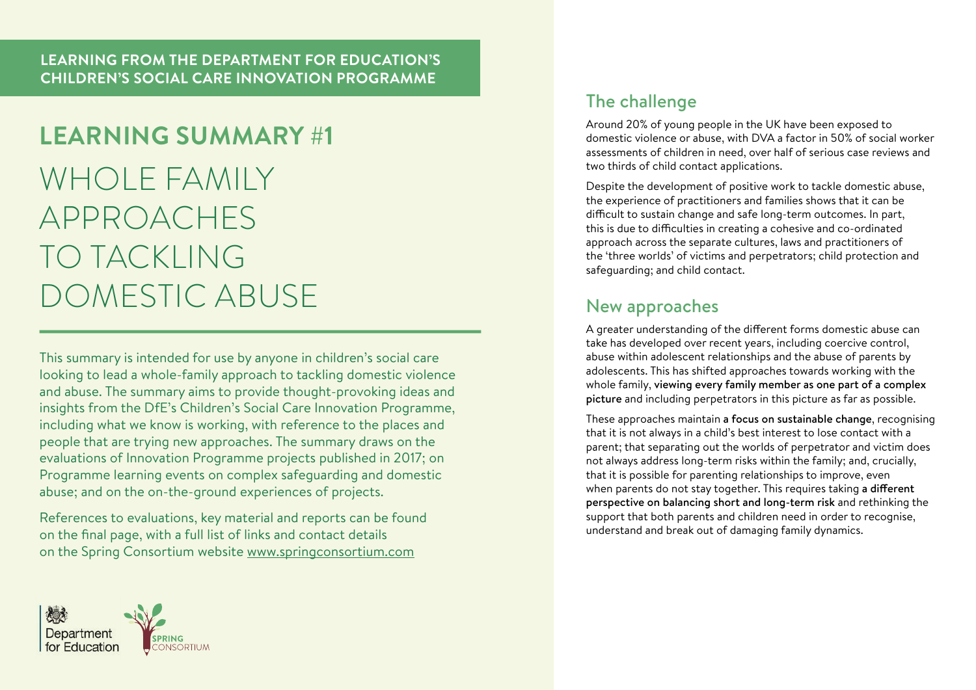# **LEARNING SUMMARY #1** WHOLE FAMILY APPROACHES TO TACKLING DOMESTIC ABUSE

This summary is intended for use by anyone in children's social care looking to lead a whole-family approach to tackling domestic violence and abuse. The summary aims to provide thought-provoking ideas and insights from the DfE's Children's Social Care Innovation Programme, including what we know is working, with reference to the places and people that are trying new approaches. The summary draws on the evaluations of Innovation Programme projects published in 2017; on Programme learning events on complex safeguarding and domestic abuse; and on the on-the-ground experiences of projects.

References to evaluations, key material and reports can be found on the final page, with a full list of links and contact details on the Spring Consortium website www.springconsortium.com



### The challenge

Around 20% of young people in the UK have been exposed to domestic violence or abuse, with DVA a factor in 50% of social worker assessments of children in need, over half of serious case reviews and two thirds of child contact applications.

Despite the development of positive work to tackle domestic abuse, the experience of practitioners and families shows that it can be difficult to sustain change and safe long-term outcomes. In part, this is due to difficulties in creating a cohesive and co-ordinated approach across the separate cultures, laws and practitioners of the 'three worlds' of victims and perpetrators; child protection and safeguarding; and child contact.

### New approaches

A greater understanding of the different forms domestic abuse can take has developed over recent years, including coercive control, abuse within adolescent relationships and the abuse of parents by adolescents. This has shifted approaches towards working with the whole family, viewing every family member as one part of a complex picture and including perpetrators in this picture as far as possible.

These approaches maintain a focus on sustainable change, recognising that it is not always in a child's best interest to lose contact with a parent; that separating out the worlds of perpetrator and victim does not always address long-term risks within the family; and, crucially, that it is possible for parenting relationships to improve, even when parents do not stay together. This requires taking a different perspective on balancing short and long-term risk and rethinking the support that both parents and children need in order to recognise, understand and break out of damaging family dynamics.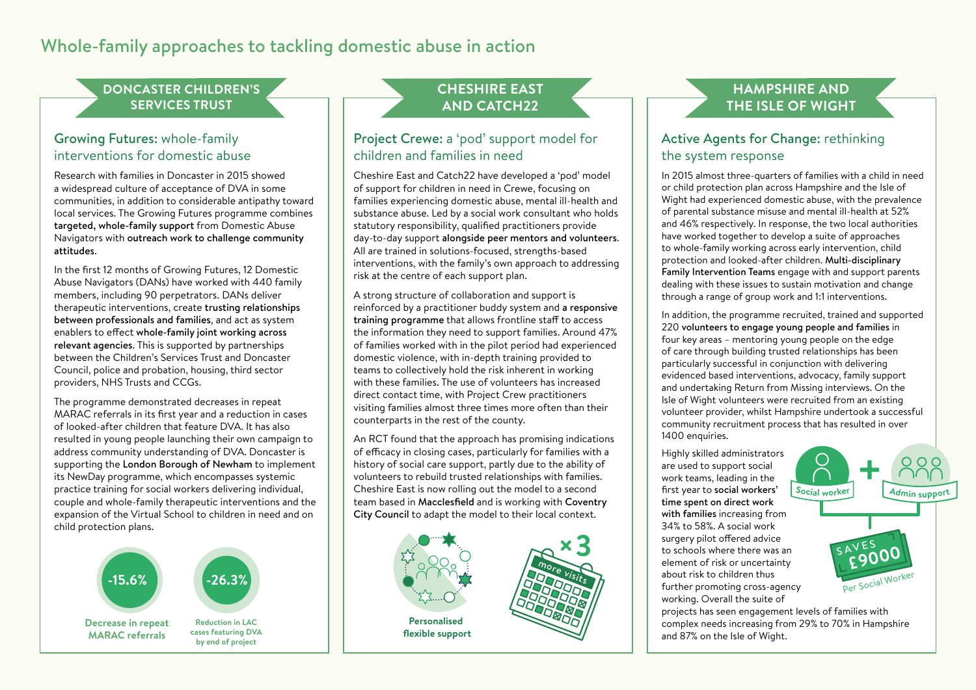### Whole-family approaches to tackling domestic abuse in action

#### **DONCASTER CHILDREN'S SERVICES TRUST**

### Growing Futures: whole-family interventions for domestic abuse

Research with families in Doncaster in 2015 showed a widespread culture of acceptance of DVA in some communities, in addition to considerable antipathy toward local services. The Growing Futures programme combines targeted, whole-family support from Domestic Abuse Navigators with outreach work to challenge community attitudes.

In the first 12 months of Growing Futures, 12 Domestic Abuse Navigators (DANs) have worked with 440 family members, including 90 perpetrators. DANs deliver therapeutic interventions, create trusting relationships between professionals and families, and act as system enablers to effect whole-family joint working across relevant agencies. This is supported by partnerships between the Children's Services Trust and Doncaster Council, police and probation, housing, third sector **<sup>1</sup>00% <sup>o</sup><sup>f</sup> <sup>f</sup>amilie<sup>s</sup>** providers, NHS Trusts and CCGs.

The programme demonstrated decreases in repeat MARAC referrals in its first year and a reduction in cases of looked-after children that feature DVA. It has also **<sup>Y</sup>EA<sup>R</sup> <sup>O</sup>N<sup>E</sup>** resulted in young people launching their own campaign to address community understanding of DVA. Doncaster is supporting the London Borough of Newham to implement its NewDay programme, which encompasses systemic practice training for social workers delivering individual, practice training for social workers delivering individual,<br>couple and whole-family therapeutic interventions and the couple and whole-tamily therapeutic interventions and the<br>expansion of the Virtual School to children in need and on child protection plans.



### **CHESHIRE EAST AND CATCH22**

#### Project Crewe: a 'pod' support model for children and families in need

Cheshire East and Catch22 have developed a 'pod' model of support for children in need in Crewe, focusing on families experiencing domestic abuse, mental ill-health and substance abuse. Led by a social work consultant who holds statutory responsibility, qualified practitioners provide day-to-day support alongside peer mentors and volunteers. All are trained in solutions-focused, strengths-based interventions, with the family's own approach to addressing risk at the centre of each support plan.

A strong structure of collaboration and support is reinforced by a practitioner buddy system and a responsive training programme that allows frontline staff to access the information they need to support families. Around 47% of families worked with in the pilot period had experienced domestic violence, with in-depth training provided to teams to collectively hold the risk inherent in working with these families. The use of volunteers has increased direct contact time, with Project Crew practitioners an eet contact time, with rroject crew practitioners counterparts in the rest of the county.

An RCT found that the approach has promising indications of efficacy in closing cases, particularly for families with a **Stress -22%** history of social care support, partly due to the ability of volunteers to rebuild trusted relationships with families. Cheshire East is now rolling out the model to a second team based in Macclesfield and is working with Coventry City Council to adapt the model to their local context.



### **HAMPSHIRE AND THE ISLE OF WIGHT**

### Active Agents for Change: rethinking the system response

In 2015 almost three-quarters of families with a child in need or child protection plan across Hampshire and the Isle of Wight had experienced domestic abuse, with the prevalence of parental substance misuse and mental ill-health at 52% and 46% respectively. In response, the two local authorities have worked together to develop a suite of approaches to whole-family working across early intervention, child protection and looked-after children. Multi-disciplinary Family Intervention Teams engage with and support parents dealing with these issues to sustain motivation and change through a range of group work and 1:1 interventions.

In addition, the programme recruited, trained and supported 220 volunteers to engage young people and families in four key areas – mentoring young people on the edge of care through building trusted relationships has been **referrals** particularly successful in conjunction with delivering evidenced based interventions, advocacy, family support and undertaking Return from Missing interviews. On the Isle of Wight volunteers were recruited from an existing volunteer provider, whilst Hampshire undertook a successful community recruitment process that has resulted in over 1400 enquiries. **children that feature DVA £2.6m**

**+**

**£9000** SAVES

Per Social Worker

**<sup>S</sup><sup>o</sup>cia<sup>l</sup> <sup>w</sup>o<sup>r</sup>ke<sup>r</sup> <sup>A</sup>dmi<sup>n</sup> <sup>s</sup><sup>u</sup>ppor<sup>t</sup>** Highly skilled administrators are used to support social work teams, leading in the first year to social workers' time spent on direct work with families increasing from 34% to 58%. A social work surgery pilot offered advice to schools where there was an element of risk or uncertainty about risk to children thus further promoting cross-agency working. Overall the suite of

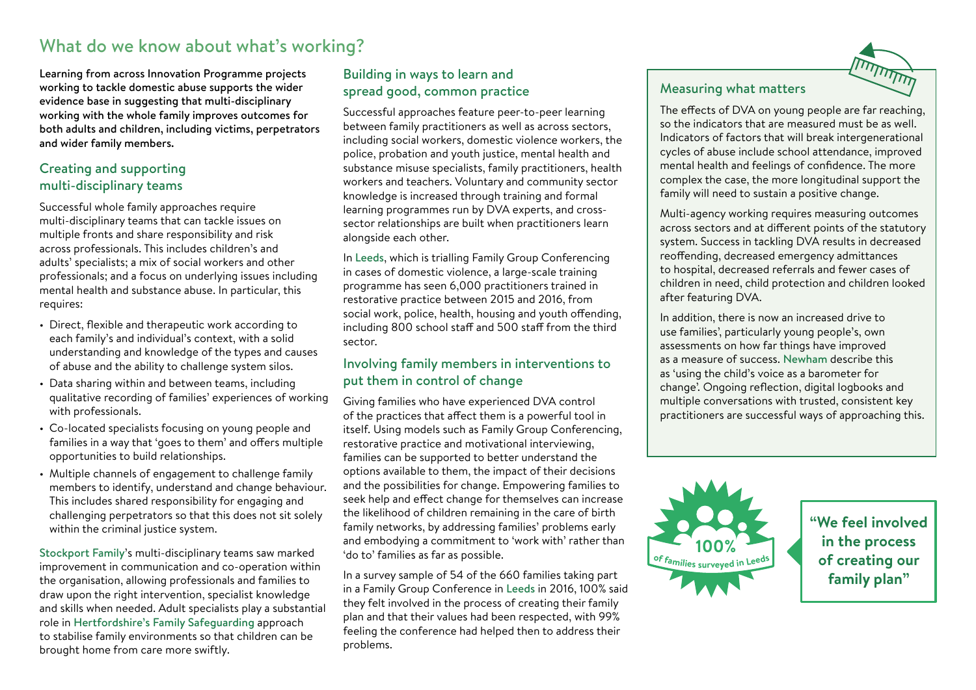### What do we know about what's working?

Learning from across Innovation Programme projects working to tackle domestic abuse supports the wider evidence base in suggesting that multi-disciplinary working with the whole family improves outcomes for both adults and children, including victims, perpetrators and wider family members.

### Creating and supporting multi-disciplinary teams

Successful whole family approaches require multi-disciplinary teams that can tackle issues on multiple fronts and share responsibility and risk across professionals. This includes children's and adults' specialists; a mix of social workers and other professionals; and a focus on underlying issues including mental health and substance abuse. In particular, this requires:

- Direct, flexible and therapeutic work according to each family's and individual's context, with a solid understanding and knowledge of the types and causes of abuse and the ability to challenge system silos.
- Data sharing within and between teams, including qualitative recording of families' experiences of working with professionals.
- Co-located specialists focusing on young people and families in a way that 'goes to them' and offers multiple opportunities to build relationships.
- Multiple channels of engagement to challenge family members to identify, understand and change behaviour. This includes shared responsibility for engaging and challenging perpetrators so that this does not sit solely within the criminal justice system.

Stockport Family's multi-disciplinary teams saw marked improvement in communication and co-operation within the organisation, allowing professionals and families to draw upon the right intervention, specialist knowledge and skills when needed. Adult specialists play a substantial role in Hertfordshire's Family Safeguarding approach to stabilise family environments so that children can be brought home from care more swiftly.

### Building in ways to learn and spread good, common practice

Successful approaches feature peer-to-peer learning between family practitioners as well as across sectors, including social workers, domestic violence workers, the police, probation and youth justice, mental health and substance misuse specialists, family practitioners, health workers and teachers. Voluntary and community sector knowledge is increased through training and formal learning programmes run by DVA experts, and crosssector relationships are built when practitioners learn alongside each other. **-15.6% -26.3%**

In Leeds, which is trialling Family Group Conferencing in cases of domestic violence, a large-scale training programme has seen 6,000 practitioners trained in restorative practice between 2015 and 2016, from **Repeat MARAC # cases looked-after**  social work, police, health, housing and youth offending, **referrals children that**  including 800 school staff and 500 staff from the third 2015/16 sector.

### Involving family members in interventions to put them in control of change

Giving families who have experienced DVA control of the practices that affect them is a powerful tool in itself. Using models such as Family Group Conferencing, restorative practice and motivational interviewing, families can be supported to better understand the options available to them, the impact of their decisions restorative practice and motivational interviewing,<br>families can be supported to better understand the<br>options available to them, the impact of their decisions<br>and the possibilities for change. Empowering families to seek help and effect change for themselves can increase the likelihood of children remaining in the care of birth family networks, by addressing families' problems early and embodying a commitment to 'work with' rather than 'do to' families as far as possible.

uo to Tammes as rar as possible.<br>In a survey sample of 54 of the 660 families taking part in a Family Group Conference in Leeds in 2016, 100% said in a Family Group Conference in Leeds in 2016, 100% sai<br>they felt involved in the process of creating their family plan and that their values had been respected, with 99% feeling the conference had helped then to address their problems.



#### Measuring what matters

The effects of DVA on young people are far reaching, so the indicators that are measured must be as well. Indicators of factors that will break intergenerational cycles of abuse include school attendance, improved mental health and feelings of confidence. The more complex the case, the more longitudinal support the **| family will need to sustain a positive change.** 

> Multi-agency working requires measuring outcomes across sectors and at different points of the statutory system. Success in tackling DVA results in decreased **Estimated**  reoffending, decreased emergency admittances **to children's**  to hospital, decreased referrals and fewer cases of **services** children in need, child protection and children looked **<sup>1</sup>00% <sup>o</sup><sup>f</sup> <sup>f</sup>amilie<sup>s</sup>** after featuring DVA. **cost saving**

housing and youth offending,<br>
and 500 staff from the third use families', particularly young people's, own use families', particularly young people's, own assessments on how far things have improved as a measure of success. Newham describe this as a measure of success. Newham describe the<br>as 'using the child's voice as a barometer for change'. Ongoing reflection, digital logbooks and **in the process**  multiple conversations with trusted, consistent key practitioners are successful ways of approaching this. **family plan"**



**"We feel involved in the process of creating our family plan"**